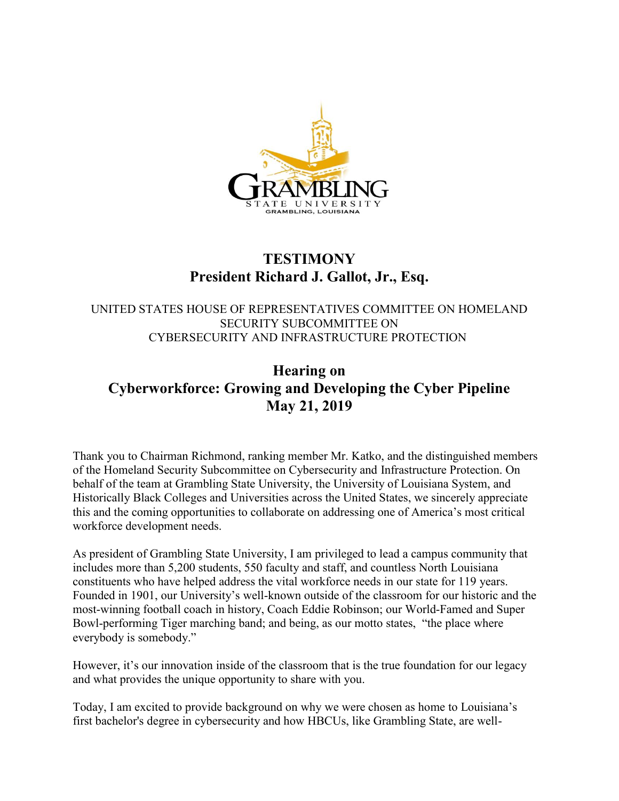

## **TESTIMONY President Richard J. Gallot, Jr., Esq.**

## UNITED STATES HOUSE OF REPRESENTATIVES COMMITTEE ON HOMELAND SECURITY SUBCOMMITTEE ON CYBERSECURITY AND INFRASTRUCTURE PROTECTION

## **Hearing on Cyberworkforce: Growing and Developing the Cyber Pipeline May 21, 2019**

Thank you to Chairman Richmond, ranking member Mr. Katko, and the distinguished members of the Homeland Security Subcommittee on Cybersecurity and Infrastructure Protection. On behalf of the team at Grambling State University, the University of Louisiana System, and Historically Black Colleges and Universities across the United States, we sincerely appreciate this and the coming opportunities to collaborate on addressing one of America's most critical workforce development needs.

As president of Grambling State University, I am privileged to lead a campus community that includes more than 5,200 students, 550 faculty and staff, and countless North Louisiana constituents who have helped address the vital workforce needs in our state for 119 years. Founded in 1901, our University's well-known outside of the classroom for our historic and the most-winning football coach in history, Coach Eddie Robinson; our World-Famed and Super Bowl-performing Tiger marching band; and being, as our motto states, "the place where everybody is somebody."

However, it's our innovation inside of the classroom that is the true foundation for our legacy and what provides the unique opportunity to share with you.

Today, I am excited to provide background on why we were chosen as home to Louisiana's first bachelor's degree in cybersecurity and how HBCUs, like Grambling State, are well-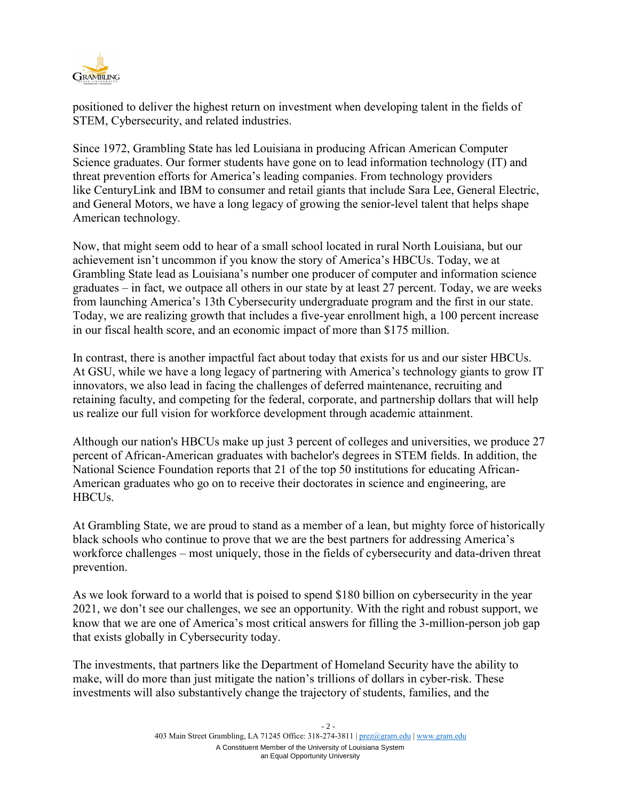

positioned to deliver the highest return on investment when developing talent in the fields of STEM, Cybersecurity, and related industries.

Since 1972, Grambling State has led Louisiana in producing African American Computer Science graduates. Our former students have gone on to lead information technology (IT) and threat prevention efforts for America's leading companies. From technology providers like CenturyLink and IBM to consumer and retail giants that include Sara Lee, General Electric, and General Motors, we have a long legacy of growing the senior-level talent that helps shape American technology.

Now, that might seem odd to hear of a small school located in rural North Louisiana, but our achievement isn't uncommon if you know the story of America's HBCUs. Today, we at Grambling State lead as Louisiana's number one producer of computer and information science graduates – in fact, we outpace all others in our state by at least 27 percent. Today, we are weeks from launching America's 13th Cybersecurity undergraduate program and the first in our state. Today, we are realizing growth that includes a five-year enrollment high, a 100 percent increase in our fiscal health score, and an economic impact of more than \$175 million.

In contrast, there is another impactful fact about today that exists for us and our sister HBCUs. At GSU, while we have a long legacy of partnering with America's technology giants to grow IT innovators, we also lead in facing the challenges of deferred maintenance, recruiting and retaining faculty, and competing for the federal, corporate, and partnership dollars that will help us realize our full vision for workforce development through academic attainment.

Although our nation's HBCUs make up just 3 percent of colleges and universities, we produce 27 percent of African-American graduates with bachelor's degrees in STEM fields. In addition, the National Science Foundation reports that 21 of the top 50 institutions for educating African-American graduates who go on to receive their doctorates in science and engineering, are HBCUs.

At Grambling State, we are proud to stand as a member of a lean, but mighty force of historically black schools who continue to prove that we are the best partners for addressing America's workforce challenges – most uniquely, those in the fields of cybersecurity and data-driven threat prevention.

As we look forward to a world that is poised to spend \$180 billion on cybersecurity in the year 2021, we don't see our challenges, we see an opportunity. With the right and robust support, we know that we are one of America's most critical answers for filling the 3-million-person job gap that exists globally in Cybersecurity today.

The investments, that partners like the Department of Homeland Security have the ability to make, will do more than just mitigate the nation's trillions of dollars in cyber-risk. These investments will also substantively change the trajectory of students, families, and the